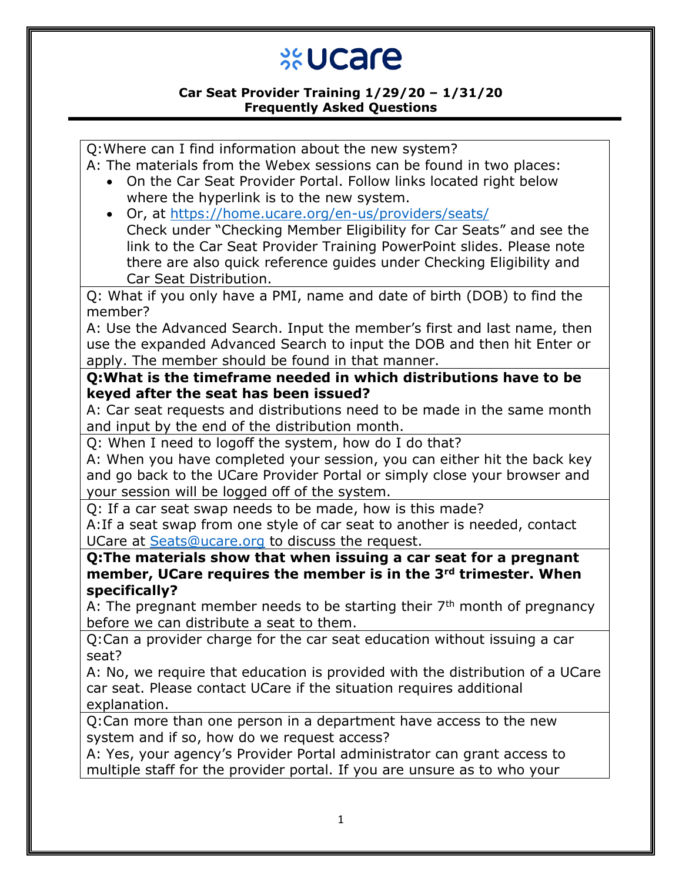## **%Ucare**

## **Car Seat Provider Training 1/29/20 – 1/31/20 Frequently Asked Questions**

| Q: Where can I find information about the new system?                                |
|--------------------------------------------------------------------------------------|
| A: The materials from the Webex sessions can be found in two places:                 |
| On the Car Seat Provider Portal. Follow links located right below                    |
| where the hyperlink is to the new system.                                            |
| Or, at https://home.ucare.org/en-us/providers/seats/<br>$\bullet$                    |
| Check under "Checking Member Eligibility for Car Seats" and see the                  |
| link to the Car Seat Provider Training PowerPoint slides. Please note                |
| there are also quick reference guides under Checking Eligibility and                 |
| Car Seat Distribution.                                                               |
| Q: What if you only have a PMI, name and date of birth (DOB) to find the             |
| member?                                                                              |
| A: Use the Advanced Search. Input the member's first and last name, then             |
| use the expanded Advanced Search to input the DOB and then hit Enter or              |
| apply. The member should be found in that manner.                                    |
| Q:What is the timeframe needed in which distributions have to be                     |
| keyed after the seat has been issued?                                                |
| A: Car seat requests and distributions need to be made in the same month             |
| and input by the end of the distribution month.                                      |
| Q: When I need to logoff the system, how do I do that?                               |
| A: When you have completed your session, you can either hit the back key             |
| and go back to the UCare Provider Portal or simply close your browser and            |
| your session will be logged off of the system.                                       |
| Q: If a car seat swap needs to be made, how is this made?                            |
| A: If a seat swap from one style of car seat to another is needed, contact           |
| UCare at Seats@ucare.org to discuss the request.                                     |
| Q:The materials show that when issuing a car seat for a pregnant                     |
| member, UCare requires the member is in the 3rd trimester. When                      |
| specifically?                                                                        |
| A: The pregnant member needs to be starting their 7 <sup>th</sup> month of pregnancy |
| before we can distribute a seat to them.                                             |
| Q:Can a provider charge for the car seat education without issuing a car             |
| seat?                                                                                |
| A: No, we require that education is provided with the distribution of a UCare        |
| car seat. Please contact UCare if the situation requires additional                  |
| explanation.                                                                         |
| Q:Can more than one person in a department have access to the new                    |
| system and if so, how do we request access?                                          |
| A: Yes, your agency's Provider Portal administrator can grant access to              |
| multiple staff for the provider portal. If you are unsure as to who your             |
|                                                                                      |
|                                                                                      |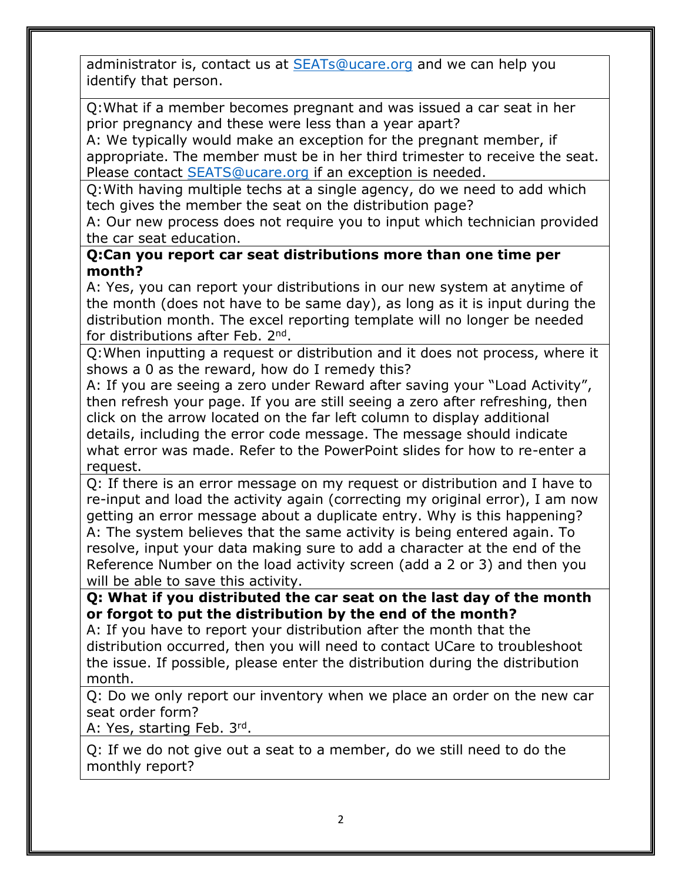administrator is, contact us at [SEATs@ucare.org](mailto:SEATs@ucare.org) and we can help you identify that person.

Q:What if a member becomes pregnant and was issued a car seat in her prior pregnancy and these were less than a year apart?

A: We typically would make an exception for the pregnant member, if appropriate. The member must be in her third trimester to receive the seat. Please contact [SEATS@ucare.org](mailto:SEATS@ucare.org) if an exception is needed.

Q:With having multiple techs at a single agency, do we need to add which tech gives the member the seat on the distribution page?

A: Our new process does not require you to input which technician provided the car seat education.

## **Q:Can you report car seat distributions more than one time per month?**

A: Yes, you can report your distributions in our new system at anytime of the month (does not have to be same day), as long as it is input during the distribution month. The excel reporting template will no longer be needed for distributions after Feb. 2<sup>nd</sup>.

Q:When inputting a request or distribution and it does not process, where it shows a 0 as the reward, how do I remedy this?

A: If you are seeing a zero under Reward after saving your "Load Activity", then refresh your page. If you are still seeing a zero after refreshing, then click on the arrow located on the far left column to display additional details, including the error code message. The message should indicate what error was made. Refer to the PowerPoint slides for how to re-enter a request.

Q: If there is an error message on my request or distribution and I have to re-input and load the activity again (correcting my original error), I am now getting an error message about a duplicate entry. Why is this happening? A: The system believes that the same activity is being entered again. To resolve, input your data making sure to add a character at the end of the Reference Number on the load activity screen (add a 2 or 3) and then you will be able to save this activity.

**Q: What if you distributed the car seat on the last day of the month or forgot to put the distribution by the end of the month?**

A: If you have to report your distribution after the month that the distribution occurred, then you will need to contact UCare to troubleshoot the issue. If possible, please enter the distribution during the distribution month.

Q: Do we only report our inventory when we place an order on the new car seat order form?

A: Yes, starting Feb. 3rd.

Q: If we do not give out a seat to a member, do we still need to do the monthly report?